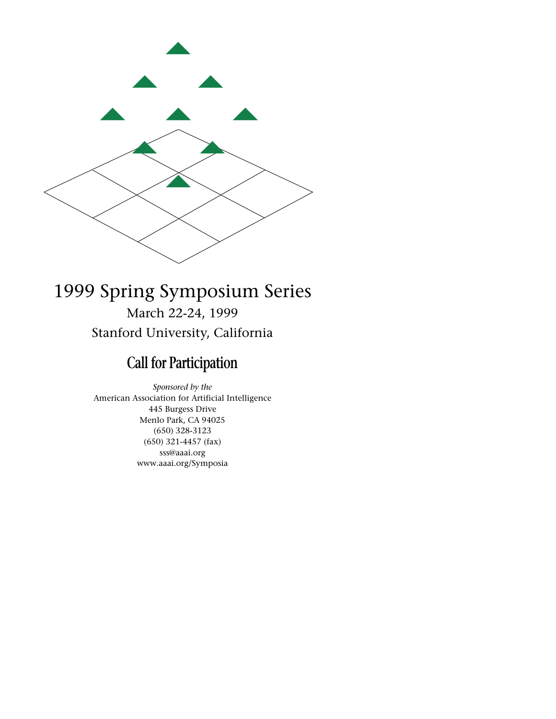

# 1999 Spring Symposium Series March 22-24, 1999 Stanford University, California

# **Call for Participation**

*Sponsored by the* American Association for Artificial Intelligence 445 Burgess Drive Menlo Park, CA 94025 (650) 328-3123 (650) 321-4457 (fax) sss@aaai.org www.aaai.org/Symposia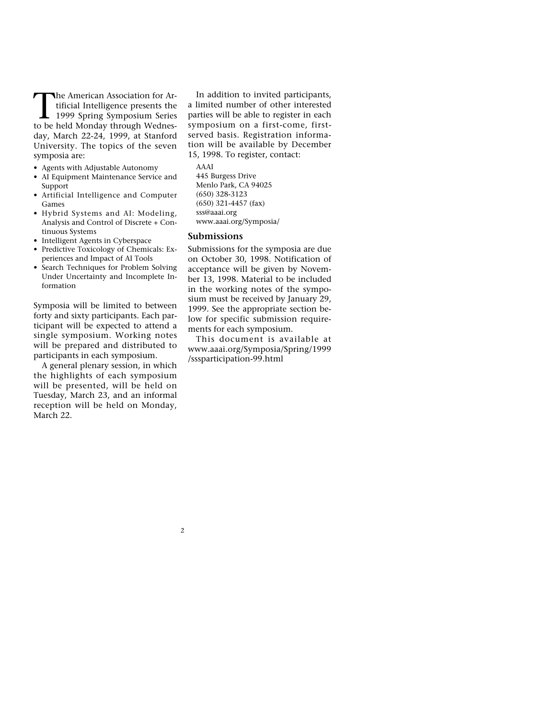The American Association for Artificial Intelligence presents the<br>1999 Spring Symposium Series<br>to be held Monday through Wednestificial Intelligence presents the to be held Monday through Wednesday, March 22-24, 1999, at Stanford University. The topics of the seven symposia are:

- Agents with Adjustable Autonomy
- AI Equipment Maintenance Service and Support
- Artificial Intelligence and Computer Games
- Hybrid Systems and AI: Modeling, Analysis and Control of Discrete + Continuous Systems
- Intelligent Agents in Cyberspace
- Predictive Toxicology of Chemicals: Experiences and Impact of AI Tools
- Search Techniques for Problem Solving Under Uncertainty and Incomplete Information

Symposia will be limited to between forty and sixty participants. Each participant will be expected to attend a single symposium. Working notes will be prepared and distributed to participants in each symposium.

A general plenary session, in which the highlights of each symposium will be presented, will be held on Tuesday, March 23, and an informal reception will be held on Monday, March 22.

In addition to invited participants, a limited number of other interested parties will be able to register in each symposium on a first-come, firstserved basis. Registration information will be available by December 15, 1998. To register, contact:

AAAI 445 Burgess Drive Menlo Park, CA 94025 (650) 328-3123 (650) 321-4457 (fax) sss@aaai.org www.aaai.org/Symposia/

#### **Submissions**

2

Submissions for the symposia are due on October 30, 1998. Notification of acceptance will be given by November 13, 1998. Material to be included in the working notes of the symposium must be received by January 29, 1999. See the appropriate section below for specific submission requirements for each symposium.

This document is available at www.aaai.org/Symposia/Spring/1999 /sssparticipation-99.html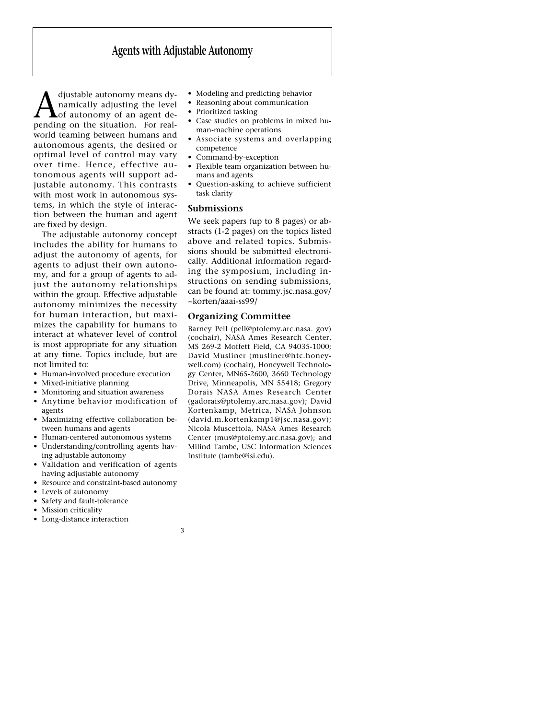# **Agents with Adjustable Autonomy**

**A** djustable autonomy means dynamically adjusting the level<br>pending on the situation. For realnamically adjusting the level of autonomy of an agent deworld teaming between humans and autonomous agents, the desired or optimal level of control may vary over time. Hence, effective autonomous agents will support adjustable autonomy. This contrasts with most work in autonomous systems, in which the style of interaction between the human and agent are fixed by design.

The adjustable autonomy concept includes the ability for humans to adjust the autonomy of agents, for agents to adjust their own autonomy, and for a group of agents to adjust the autonomy relationships within the group. Effective adjustable autonomy minimizes the necessity for human interaction, but maximizes the capability for humans to interact at whatever level of control is most appropriate for any situation at any time. Topics include, but are not limited to:

- Human-involved procedure execution
- Mixed-initiative planning
- Monitoring and situation awareness
- Anytime behavior modification of agents
- Maximizing effective collaboration between humans and agents
- Human-centered autonomous systems
- Understanding/controlling agents having adjustable autonomy
- Validation and verification of agents having adjustable autonomy
- Resource and constraint-based autonomy

3

- Levels of autonomy
- Safety and fault-tolerance
- Mission criticality
- Long-distance interaction
- Modeling and predicting behavior
- Reasoning about communication
- Prioritized tasking
- Case studies on problems in mixed human-machine operations
- Associate systems and overlapping competence
- Command-by-exception
- Flexible team organization between humans and agents
- Question-asking to achieve sufficient task clarity

#### **Submissions**

We seek papers (up to 8 pages) or abstracts (1-2 pages) on the topics listed above and related topics. Submissions should be submitted electronically. Additional information regarding the symposium, including instructions on sending submissions, can be found at: tommy.jsc.nasa.gov/ ~korten/aaai-ss99/

#### **Organizing Committee**

Barney Pell (pell@ptolemy.arc.nasa. gov) (cochair), NASA Ames Research Center, MS 269-2 Moffett Field, CA 94035-1000; David Musliner (musliner@htc.honeywell.com) (cochair), Honeywell Technology Center, MN65-2600, 3660 Technology Drive, Minneapolis, MN 55418; Gregory Dorais NASA Ames Research Center (gadorais@ptolemy.arc.nasa.gov); David Kortenkamp, Metrica, NASA Johnson (david.m.kortenkamp1@jsc.nasa.gov); Nicola Muscettola, NASA Ames Research Center (mus@ptolemy.arc.nasa.gov); and Milind Tambe, USC Information Sciences Institute (tambe@isi.edu).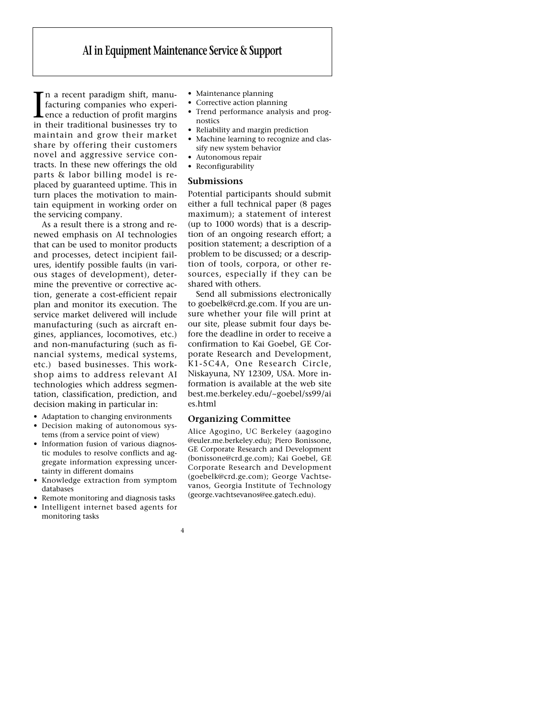# **AI in Equipment Maintenance Service & Support**

In a recent paradigm shift, manu-<br>facturing companies who experi-<br>ence a reduction of profit margins<br>in their traditional businesses try to n a recent paradigm shift, manufacturing companies who experience a reduction of profit margins maintain and grow their market share by offering their customers novel and aggressive service contracts. In these new offerings the old parts & labor billing model is replaced by guaranteed uptime. This in turn places the motivation to maintain equipment in working order on the servicing company.

As a result there is a strong and renewed emphasis on AI technologies that can be used to monitor products and processes, detect incipient failures, identify possible faults (in various stages of development), determine the preventive or corrective action, generate a cost-efficient repair plan and monitor its execution. The service market delivered will include manufacturing (such as aircraft engines, appliances, locomotives, etc.) and non-manufacturing (such as financial systems, medical systems, etc.) based businesses. This workshop aims to address relevant AI technologies which address segmentation, classification, prediction, and decision making in particular in:

- Adaptation to changing environments • Decision making of autonomous systems (from a service point of view)
- Information fusion of various diagnostic modules to resolve conflicts and aggregate information expressing uncertainty in different domains
- Knowledge extraction from symptom databases
- Remote monitoring and diagnosis tasks
- Intelligent internet based agents for monitoring tasks
- Maintenance planning
- Corrective action planning
- Trend performance analysis and prognostics
- Reliability and margin prediction
- Machine learning to recognize and classify new system behavior
- Autonomous repair
- Reconfigurability

#### **Submissions**

Potential participants should submit either a full technical paper (8 pages maximum); a statement of interest (up to 1000 words) that is a description of an ongoing research effort; a position statement; a description of a problem to be discussed; or a description of tools, corpora, or other resources, especially if they can be shared with others.

Send all submissions electronically to goebelk@crd.ge.com. If you are unsure whether your file will print at our site, please submit four days before the deadline in order to receive a confirmation to Kai Goebel, GE Corporate Research and Development, K1-5C4A, One Research Circle, Niskayuna, NY 12309, USA. More information is available at the web site best.me.berkeley.edu/~goebel/ss99/ai es.html

## **Organizing Committee**

4

Alice Agogino, UC Berkeley (aagogino @euler.me.berkeley.edu); Piero Bonissone, GE Corporate Research and Development (bonissone@crd.ge.com); Kai Goebel, GE Corporate Research and Development (goebelk@crd.ge.com); George Vachtsevanos, Georgia Institute of Technology (george.vachtsevanos@ee.gatech.edu).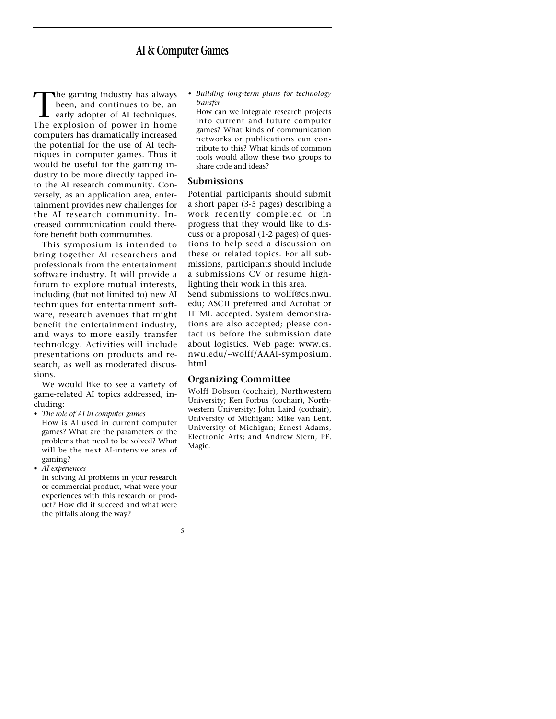The gaming industry has always been, and continues to be, an early adopter of AI techniques. The explosion of power in home computers has dramatically increased the potential for the use of AI techniques in computer games. Thus it would be useful for the gaming industry to be more directly tapped into the AI research community. Conversely, as an application area, entertainment provides new challenges for the AI research community. Increased communication could therefore benefit both communities.

This symposium is intended to bring together AI researchers and professionals from the entertainment software industry. It will provide a forum to explore mutual interests, including (but not limited to) new AI techniques for entertainment software, research avenues that might benefit the entertainment industry, and ways to more easily transfer technology. Activities will include presentations on products and research, as well as moderated discussions.

We would like to see a variety of game-related AI topics addressed, including:

- *The role of AI in computer games*  How is AI used in current computer games? What are the parameters of the problems that need to be solved? What will be the next AI-intensive area of gaming?
- *AI experiences*

In solving AI problems in your research or commercial product, what were your experiences with this research or product? How did it succeed and what were the pitfalls along the way?

5

- *Building long-term plans for technology transfer*
	- How can we integrate research projects into current and future computer games? What kinds of communication networks or publications can contribute to this? What kinds of common tools would allow these two groups to share code and ideas?

#### **Submissions**

Potential participants should submit a short paper (3-5 pages) describing a work recently completed or in progress that they would like to discuss or a proposal (1-2 pages) of questions to help seed a discussion on these or related topics. For all submissions, participants should include a submissions CV or resume highlighting their work in this area.

Send submissions to wolff@cs.nwu. edu; ASCII preferred and Acrobat or HTML accepted. System demonstrations are also accepted; please contact us before the submission date about logistics. Web page: www.cs. nwu.edu/~wolff/AAAI-symposium. html

# **Organizing Committee**

Wolff Dobson (cochair), Northwestern University; Ken Forbus (cochair), Northwestern University; John Laird (cochair), University of Michigan; Mike van Lent, University of Michigan; Ernest Adams, Electronic Arts; and Andrew Stern, PF. Magic.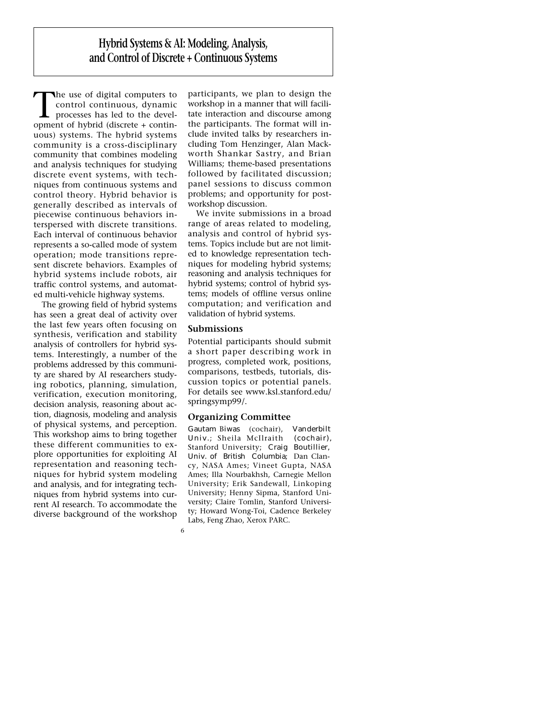**Hybrid Systems & AI: Modeling, Analysis, and Control of Discrete + Continuous Systems**

The use of digital computers to control continuous, dynamic processes has led to the development of hybrid (discrete + continuous) systems. The hybrid systems community is a cross-disciplinary community that combines modeling and analysis techniques for studying discrete event systems, with techniques from continuous systems and control theory. Hybrid behavior is generally described as intervals of piecewise continuous behaviors interspersed with discrete transitions. Each interval of continuous behavior represents a so-called mode of system operation; mode transitions represent discrete behaviors. Examples of hybrid systems include robots, air traffic control systems, and automated multi-vehicle highway systems.

The growing field of hybrid systems has seen a great deal of activity over the last few years often focusing on synthesis, verification and stability analysis of controllers for hybrid systems. Interestingly, a number of the problems addressed by this community are shared by AI researchers studying robotics, planning, simulation, verification, execution monitoring, decision analysis, reasoning about action, diagnosis, modeling and analysis of physical systems, and perception. This workshop aims to bring together these different communities to explore opportunities for exploiting AI representation and reasoning techniques for hybrid system modeling and analysis, and for integrating techniques from hybrid systems into current AI research. To accommodate the diverse background of the workshop

participants, we plan to design the workshop in a manner that will facilitate interaction and discourse among the participants. The format will include invited talks by researchers including Tom Henzinger, Alan Mackworth Shankar Sastry, and Brian Williams; theme-based presentations followed by facilitated discussion; panel sessions to discuss common problems; and opportunity for postworkshop discussion.

We invite submissions in a broad range of areas related to modeling, analysis and control of hybrid systems. Topics include but are not limited to knowledge representation techniques for modeling hybrid systems; reasoning and analysis techniques for hybrid systems; control of hybrid systems; models of offline versus online computation; and verification and validation of hybrid systems.

## **Submissions**

6

Potential participants should submit a short paper describing work in progress, completed work, positions, comparisons, testbeds, tutorials, discussion topics or potential panels. For details see www.ksl.stanford.edu/ springsymp99/.

## **Organizing Committee**

Gautam Biwas (cochair), Vanderbilt Univ.; Sheila McIlraith (cochair), Stanford University; Craig Boutillier, Univ. of British Columbia; Dan Clancy, NASA Ames; Vineet Gupta, NASA Ames; Illa Nourbakhsh, Carnegie Mellon University; Erik Sandewall, Linkoping University; Henny Sipma, Stanford University; Claire Tomlin, Stanford University; Howard Wong-Toi, Cadence Berkeley Labs, Feng Zhao, Xerox PARC.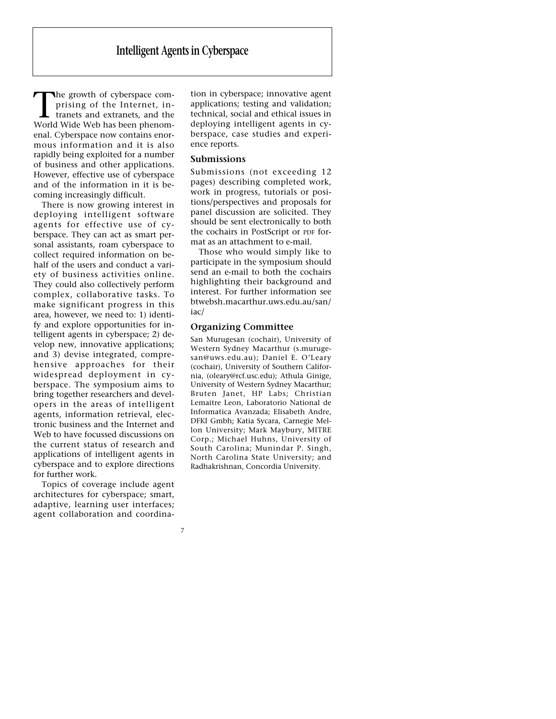The growth of cyberspace comprising of the Internet, intranets and extranets, and the World Wide Web has been phenomenal. Cyberspace now contains enormous information and it is also rapidly being exploited for a number of business and other applications. However, effective use of cyberspace and of the information in it is becoming increasingly difficult.

There is now growing interest in deploying intelligent software agents for effective use of cyberspace. They can act as smart personal assistants, roam cyberspace to collect required information on behalf of the users and conduct a variety of business activities online. They could also collectively perform complex, collaborative tasks. To make significant progress in this area, however, we need to: 1) identify and explore opportunities for intelligent agents in cyberspace; 2) develop new, innovative applications; and 3) devise integrated, comprehensive approaches for their widespread deployment in cyberspace. The symposium aims to bring together researchers and developers in the areas of intelligent agents, information retrieval, electronic business and the Internet and Web to have focussed discussions on the current status of research and applications of intelligent agents in cyberspace and to explore directions for further work.

Topics of coverage include agent architectures for cyberspace; smart, adaptive, learning user interfaces; agent collaboration and coordina-

7

tion in cyberspace; innovative agent applications; testing and validation; technical, social and ethical issues in deploying intelligent agents in cyberspace, case studies and experience reports.

# **Submissions**

Submissions (not exceeding 12 pages) describing completed work, work in progress, tutorials or positions/perspectives and proposals for panel discussion are solicited. They should be sent electronically to both the cochairs in PostScript or PDF format as an attachment to e-mail.

Those who would simply like to participate in the symposium should send an e-mail to both the cochairs highlighting their background and interest. For further information see btwebsh.macarthur.uws.edu.au/san/ iac/

#### **Organizing Committee**

San Murugesan (cochair), University of Western Sydney Macarthur (s.murugesan@uws.edu.au); Daniel E. O'Leary (cochair), University of Southern California, (oleary@rcf.usc.edu); Athula Ginige, University of Western Sydney Macarthur; Bruten Janet, HP Labs; Christian Lemaitre Leon, Laboratorio National de Informatica Avanzada; Elisabeth Andre, DFKI Gmbh; Katia Sycara, Carnegie Mellon University; Mark Maybury, MITRE Corp.; Michael Huhns, University of South Carolina; Munindar P. Singh, North Carolina State University; and Radhakrishnan, Concordia University.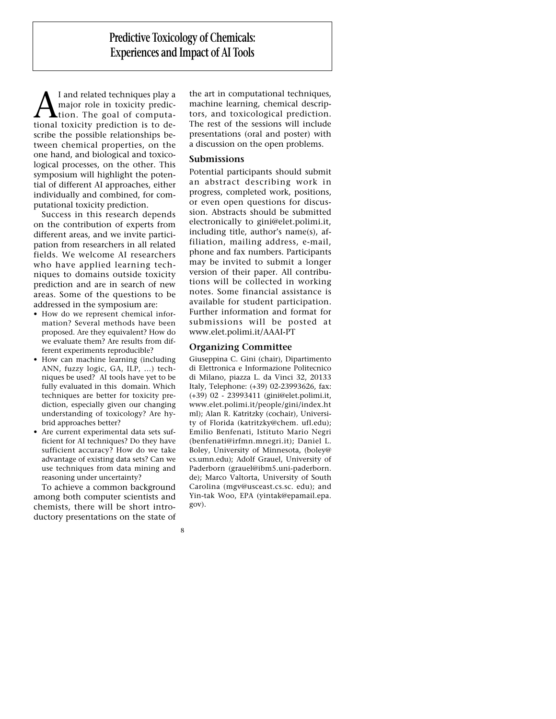**A** I and related techniques play a<br>major role in toxicity predic-<br>tional toxicity prediction is to demajor role in toxicity prediction. The goal of computascribe the possible relationships between chemical properties, on the one hand, and biological and toxicological processes, on the other. This symposium will highlight the potential of different AI approaches, either individually and combined, for computational toxicity prediction.

Success in this research depends on the contribution of experts from different areas, and we invite participation from researchers in all related fields. We welcome AI researchers who have applied learning techniques to domains outside toxicity prediction and are in search of new areas. Some of the questions to be addressed in the symposium are:

- How do we represent chemical information? Several methods have been proposed. Are they equivalent? How do we evaluate them? Are results from different experiments reproducible?
- How can machine learning (including ANN, fuzzy logic, GA, ILP, …) techniques be used? AI tools have yet to be fully evaluated in this domain. Which techniques are better for toxicity prediction, especially given our changing understanding of toxicology? Are hybrid approaches better?
- Are current experimental data sets sufficient for AI techniques? Do they have sufficient accuracy? How do we take advantage of existing data sets? Can we use techniques from data mining and reasoning under uncertainty?

To achieve a common background among both computer scientists and chemists, there will be short introductory presentations on the state of

8

the art in computational techniques, machine learning, chemical descriptors, and toxicological prediction. The rest of the sessions will include presentations (oral and poster) with a discussion on the open problems.

# **Submissions**

Potential participants should submit an abstract describing work in progress, completed work, positions, or even open questions for discussion. Abstracts should be submitted electronically to gini@elet.polimi.it, including title, author's name(s), affiliation, mailing address, e-mail, phone and fax numbers. Participants may be invited to submit a longer version of their paper. All contributions will be collected in working notes. Some financial assistance is available for student participation. Further information and format for submissions will be posted at www.elet.polimi.it/AAAI-PT

# **Organizing Committee**

Giuseppina C. Gini (chair), Dipartimento di Elettronica e Informazione Politecnico di Milano, piazza L. da Vinci 32, 20133 Italy, Telephone: (+39) 02-23993626, fax: (+39) 02 - 23993411 (gini@elet.polimi.it, www.elet.polimi.it/people/gini/index.ht ml); Alan R. Katritzky (cochair), University of Florida (katritzky@chem. ufl.edu); Emilio Benfenati, Istituto Mario Negri (benfenati@irfmn.mnegri.it); Daniel L. Boley, University of Minnesota, (boley@ cs.umn.edu); Adolf Grauel, University of Paderborn (grauel@ibm5.uni-paderborn. de); Marco Valtorta, University of South Carolina (mgv@usceast.cs.sc. edu); and Yin-tak Woo, EPA (yintak@epamail.epa. gov).